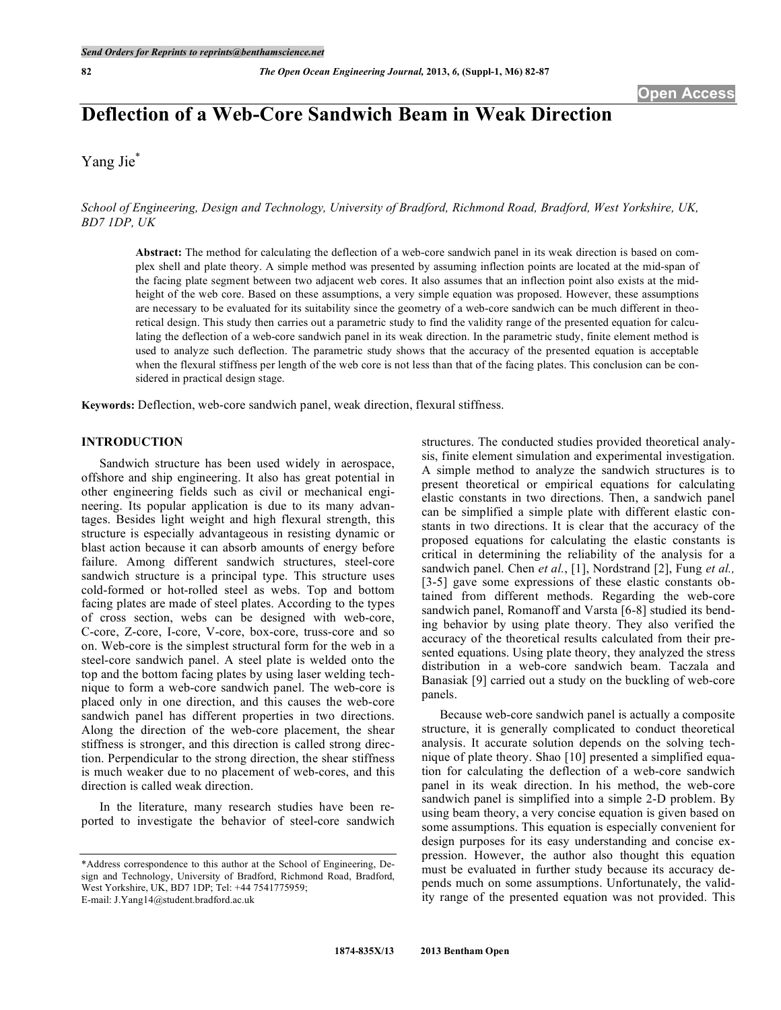# **Deflection of a Web-Core Sandwich Beam in Weak Direction**

Yang Jie<sup>\*</sup>

*School of Engineering, Design and Technology, University of Bradford, Richmond Road, Bradford, West Yorkshire, UK, BD7 1DP, UK*

**Abstract:** The method for calculating the deflection of a web-core sandwich panel in its weak direction is based on complex shell and plate theory. A simple method was presented by assuming inflection points are located at the mid-span of the facing plate segment between two adjacent web cores. It also assumes that an inflection point also exists at the midheight of the web core. Based on these assumptions, a very simple equation was proposed. However, these assumptions are necessary to be evaluated for its suitability since the geometry of a web-core sandwich can be much different in theoretical design. This study then carries out a parametric study to find the validity range of the presented equation for calculating the deflection of a web-core sandwich panel in its weak direction. In the parametric study, finite element method is used to analyze such deflection. The parametric study shows that the accuracy of the presented equation is acceptable when the flexural stiffness per length of the web core is not less than that of the facing plates. This conclusion can be considered in practical design stage.

**Keywords:** Deflection, web-core sandwich panel, weak direction, flexural stiffness.

# **INTRODUCTION**

Sandwich structure has been used widely in aerospace, offshore and ship engineering. It also has great potential in other engineering fields such as civil or mechanical engineering. Its popular application is due to its many advantages. Besides light weight and high flexural strength, this structure is especially advantageous in resisting dynamic or blast action because it can absorb amounts of energy before failure. Among different sandwich structures, steel-core sandwich structure is a principal type. This structure uses cold-formed or hot-rolled steel as webs. Top and bottom facing plates are made of steel plates. According to the types of cross section, webs can be designed with web-core, C-core, Z-core, I-core, V-core, box-core, truss-core and so on. Web-core is the simplest structural form for the web in a steel-core sandwich panel. A steel plate is welded onto the top and the bottom facing plates by using laser welding technique to form a web-core sandwich panel. The web-core is placed only in one direction, and this causes the web-core sandwich panel has different properties in two directions. Along the direction of the web-core placement, the shear stiffness is stronger, and this direction is called strong direction. Perpendicular to the strong direction, the shear stiffness is much weaker due to no placement of web-cores, and this direction is called weak direction.

In the literature, many research studies have been reported to investigate the behavior of steel-core sandwich

E-mail: J.Yang14@student.bradford.ac.uk

structures. The conducted studies provided theoretical analysis, finite element simulation and experimental investigation. A simple method to analyze the sandwich structures is to present theoretical or empirical equations for calculating elastic constants in two directions. Then, a sandwich panel can be simplified a simple plate with different elastic constants in two directions. It is clear that the accuracy of the proposed equations for calculating the elastic constants is critical in determining the reliability of the analysis for a sandwich panel. Chen *et al.*, [1], Nordstrand [2], Fung *et al.,* [3-5] gave some expressions of these elastic constants obtained from different methods. Regarding the web-core sandwich panel, Romanoff and Varsta [6-8] studied its bending behavior by using plate theory. They also verified the accuracy of the theoretical results calculated from their presented equations. Using plate theory, they analyzed the stress distribution in a web-core sandwich beam. Taczala and Banasiak [9] carried out a study on the buckling of web-core panels.

Because web-core sandwich panel is actually a composite structure, it is generally complicated to conduct theoretical analysis. It accurate solution depends on the solving technique of plate theory. Shao [10] presented a simplified equation for calculating the deflection of a web-core sandwich panel in its weak direction. In his method, the web-core sandwich panel is simplified into a simple 2-D problem. By using beam theory, a very concise equation is given based on some assumptions. This equation is especially convenient for design purposes for its easy understanding and concise expression. However, the author also thought this equation must be evaluated in further study because its accuracy depends much on some assumptions. Unfortunately, the validity range of the presented equation was not provided. This

<sup>\*</sup>Address correspondence to this author at the School of Engineering, Design and Technology, University of Bradford, Richmond Road, Bradford, West Yorkshire, UK, BD7 1DP; Tel: +44 7541775959;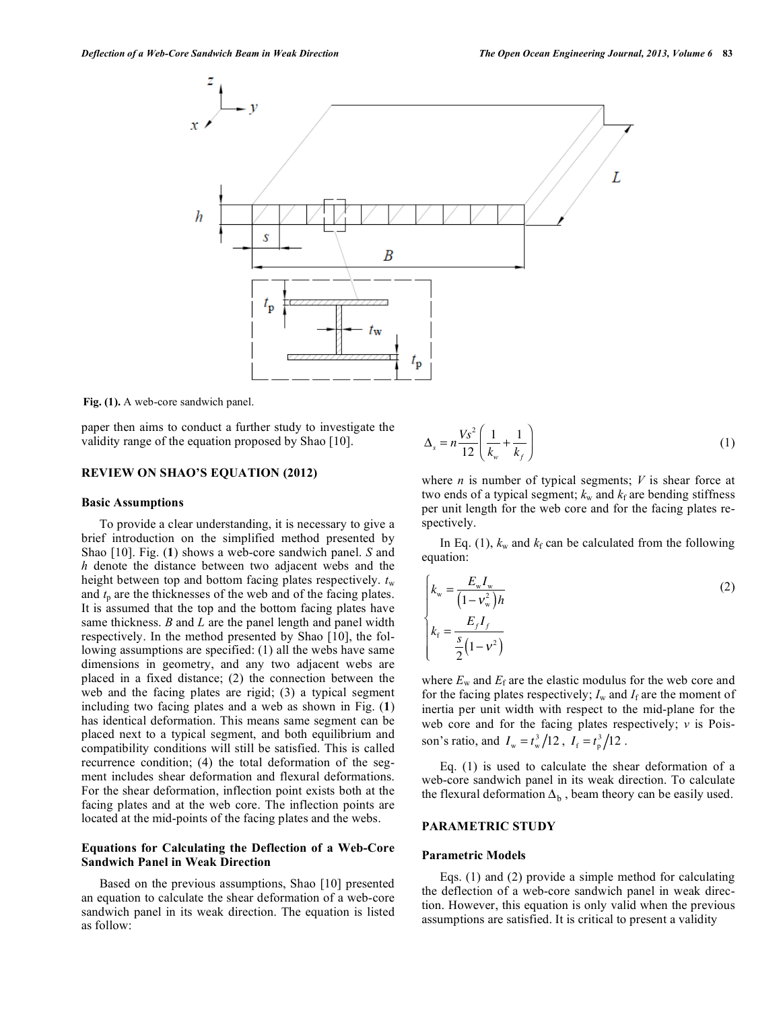

**Fig. (1).** A web-core sandwich panel.

paper then aims to conduct a further study to investigate the validity range of the equation proposed by Shao [10].

#### **REVIEW ON SHAO'S EQUATION (2012)**

#### **Basic Assumptions**

To provide a clear understanding, it is necessary to give a brief introduction on the simplified method presented by Shao [10]. Fig. (**1**) shows a web-core sandwich panel. *S* and *h* denote the distance between two adjacent webs and the height between top and bottom facing plates respectively.  $t_w$ and  $t<sub>p</sub>$  are the thicknesses of the web and of the facing plates. It is assumed that the top and the bottom facing plates have same thickness. *B* and *L* are the panel length and panel width respectively. In the method presented by Shao [10], the following assumptions are specified: (1) all the webs have same dimensions in geometry, and any two adjacent webs are placed in a fixed distance; (2) the connection between the web and the facing plates are rigid; (3) a typical segment including two facing plates and a web as shown in Fig. (**1**) has identical deformation. This means same segment can be placed next to a typical segment, and both equilibrium and compatibility conditions will still be satisfied. This is called recurrence condition; (4) the total deformation of the segment includes shear deformation and flexural deformations. For the shear deformation, inflection point exists both at the facing plates and at the web core. The inflection points are located at the mid-points of the facing plates and the webs.

## **Equations for Calculating the Deflection of a Web-Core Sandwich Panel in Weak Direction**

Based on the previous assumptions, Shao [10] presented an equation to calculate the shear deformation of a web-core sandwich panel in its weak direction. The equation is listed as follow:

$$
\Delta_s = n \frac{V s^2}{12} \left( \frac{1}{k_w} + \frac{1}{k_f} \right) \tag{1}
$$

where *n* is number of typical segments; *V* is shear force at two ends of a typical segment;  $k_{w}$  and  $k_{f}$  are bending stiffness per unit length for the web core and for the facing plates respectively.

In Eq. (1),  $k_w$  and  $k_f$  can be calculated from the following equation:

$$
\begin{cases}\nk_{\rm w} = \frac{E_{\rm w} I_{\rm w}}{(1 - v_{\rm w}^2)h} \\
k_{\rm f} = \frac{E_f I_f}{\frac{s}{2}(1 - v^2)}\n\end{cases}
$$
\n(2)

where  $E_w$  and  $E_f$  are the elastic modulus for the web core and for the facing plates respectively;  $I_w$  and  $I_f$  are the moment of inertia per unit width with respect to the mid-plane for the web core and for the facing plates respectively; *v* is Poisson's ratio, and  $I_w = t_w^3 / 12$ ,  $I_f = t_p^3 / 12$ .

Eq. (1) is used to calculate the shear deformation of a web-core sandwich panel in its weak direction. To calculate the flexural deformation  $\Delta_{\rm b}$ , beam theory can be easily used.

## **PARAMETRIC STUDY**

#### **Parametric Models**

Eqs. (1) and (2) provide a simple method for calculating the deflection of a web-core sandwich panel in weak direction. However, this equation is only valid when the previous assumptions are satisfied. It is critical to present a validity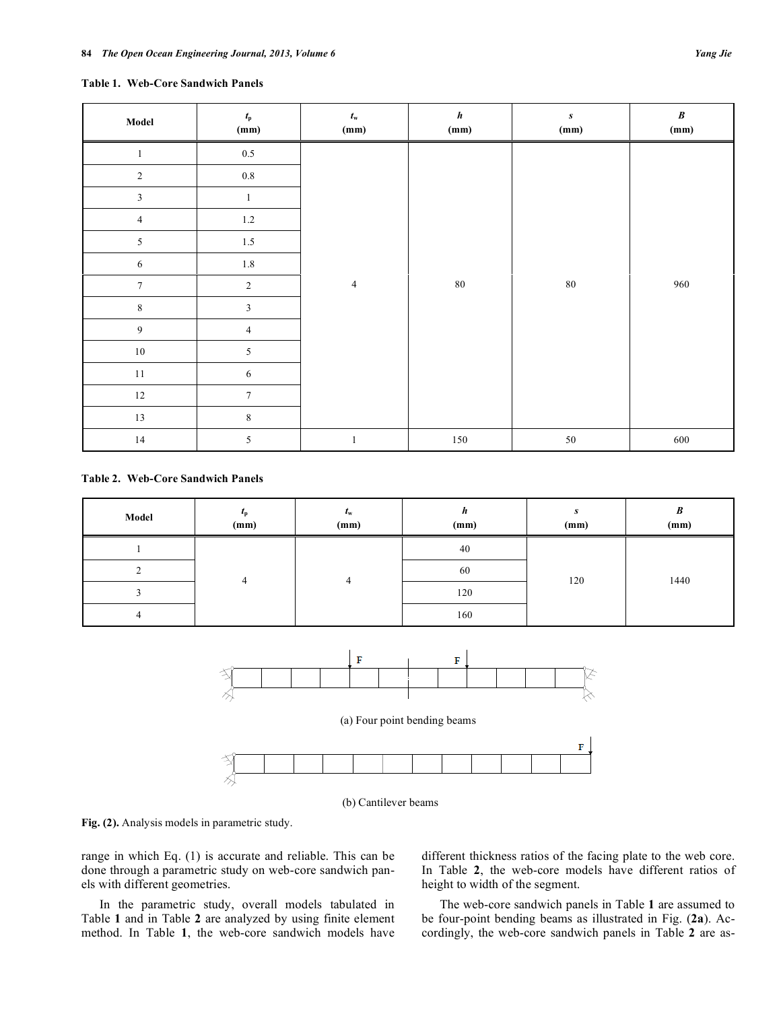#### **Table 1. Web-Core Sandwich Panels**

| Model          | $t_{\rm p}$<br>(mm) | $t_{\rm w}$<br>(mm) | $\pmb{h}$<br>(mm) | $\pmb{S}$<br>(mm) | $\pmb{B}$<br>(mm) |
|----------------|---------------------|---------------------|-------------------|-------------------|-------------------|
| $\mathbf{1}$   | $0.5\,$             |                     |                   |                   |                   |
| $\sqrt{2}$     | $0.8\,$             |                     |                   |                   |                   |
| $\mathfrak{Z}$ | $\mathbf{1}$        |                     |                   |                   |                   |
| $\overline{4}$ | $1.2\,$             |                     |                   |                   |                   |
| $\sqrt{5}$     | $1.5\,$             |                     |                   |                   |                   |
| $\sqrt{6}$     | $1.8\,$             |                     |                   |                   |                   |
| $\tau$         | $\boldsymbol{2}$    | $\overline{4}$      | $\rm 80$          | $\bf 80$          | 960               |
| $\,$ 8 $\,$    | $\mathfrak{Z}$      |                     |                   |                   |                   |
| $\overline{9}$ | $\overline{4}$      |                     |                   |                   |                   |
| $10\,$         | 5                   |                     |                   |                   |                   |
| $11\,$         | 6                   |                     |                   |                   |                   |
| $12\,$         | $\boldsymbol{7}$    |                     |                   |                   |                   |
| 13             | $\,8\,$             |                     |                   |                   |                   |
| $14\,$         | 5                   | $\mathbf{1}$        | 150               | $50\,$            | 600               |

## **Table 2. Web-Core Sandwich Panels**

| Model | $L_{\rm p}$<br>(mm) | $t_{\rm w}$<br>(mm) | n<br>(mm) | S<br>(mm) | B<br>(mm) |
|-------|---------------------|---------------------|-----------|-----------|-----------|
|       |                     | 4                   | 40        | 120       | 1440      |
|       |                     |                     | 60        |           |           |
|       |                     |                     | 120       |           |           |
|       |                     |                     | 160       |           |           |





**Fig. (2).** Analysis models in parametric study.

range in which Eq. (1) is accurate and reliable. This can be done through a parametric study on web-core sandwich panels with different geometries.

In the parametric study, overall models tabulated in Table **1** and in Table **2** are analyzed by using finite element method. In Table **1**, the web-core sandwich models have different thickness ratios of the facing plate to the web core. In Table **2**, the web-core models have different ratios of height to width of the segment.

The web-core sandwich panels in Table **1** are assumed to be four-point bending beams as illustrated in Fig. (**2a**). Accordingly, the web-core sandwich panels in Table **2** are as-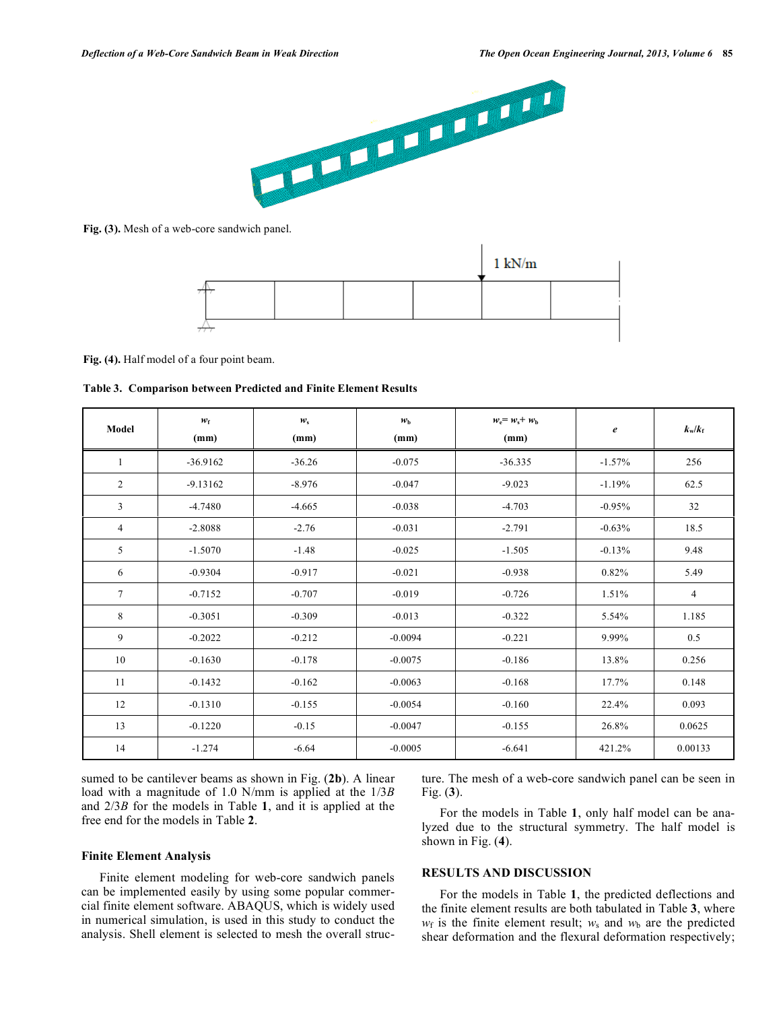

**Fig. (3).** Mesh of a web-core sandwich panel.



**Fig. (4).** Half model of a four point beam.

| Model          | $w_{\rm f}$<br>(mm) | $w_{\rm s}$<br>(mm) | $w_{\rm b}$<br>(mm) | $w_e = w_s + w_b$<br>(mm) | $\boldsymbol{e}$ | $k_w/k_f$      |
|----------------|---------------------|---------------------|---------------------|---------------------------|------------------|----------------|
| 1              | $-36.9162$          | $-36.26$            | $-0.075$            | $-36.335$                 | $-1.57%$         | 256            |
| $\overline{2}$ | $-9.13162$          | $-8.976$            | $-0.047$            | $-9.023$                  | $-1.19%$         | 62.5           |
| 3              | $-4.7480$           | $-4.665$            | $-0.038$            | $-4.703$                  | $-0.95%$         | 32             |
| $\overline{4}$ | $-2.8088$           | $-2.76$             | $-0.031$            | $-2.791$                  | $-0.63%$         | 18.5           |
| 5              | $-1.5070$           | $-1.48$             | $-0.025$            | $-1.505$                  | $-0.13%$         | 9.48           |
| 6              | $-0.9304$           | $-0.917$            | $-0.021$            | $-0.938$                  | 0.82%            | 5.49           |
| $\tau$         | $-0.7152$           | $-0.707$            | $-0.019$            | $-0.726$                  | 1.51%            | $\overline{4}$ |
| 8              | $-0.3051$           | $-0.309$            | $-0.013$            | $-0.322$                  | 5.54%            | 1.185          |
| 9              | $-0.2022$           | $-0.212$            | $-0.0094$           | $-0.221$                  | 9.99%            | 0.5            |
| 10             | $-0.1630$           | $-0.178$            | $-0.0075$           | $-0.186$                  | 13.8%            | 0.256          |
| 11             | $-0.1432$           | $-0.162$            | $-0.0063$           | $-0.168$                  | 17.7%            | 0.148          |
| 12             | $-0.1310$           | $-0.155$            | $-0.0054$           | $-0.160$                  | 22.4%            | 0.093          |
| 13             | $-0.1220$           | $-0.15$             | $-0.0047$           | $-0.155$                  | 26.8%            | 0.0625         |
| 14             | $-1.274$            | $-6.64$             | $-0.0005$           | $-6.641$                  | 421.2%           | 0.00133        |

sumed to be cantilever beams as shown in Fig. (**2b**). A linear load with a magnitude of 1.0 N/mm is applied at the 1/3*B* and 2/3*B* for the models in Table **1**, and it is applied at the free end for the models in Table **2**.

## **Finite Element Analysis**

Finite element modeling for web-core sandwich panels can be implemented easily by using some popular commercial finite element software. ABAQUS, which is widely used in numerical simulation, is used in this study to conduct the analysis. Shell element is selected to mesh the overall structure. The mesh of a web-core sandwich panel can be seen in Fig. (**3**).

For the models in Table **1**, only half model can be analyzed due to the structural symmetry. The half model is shown in Fig. (**4**).

# **RESULTS AND DISCUSSION**

For the models in Table **1**, the predicted deflections and the finite element results are both tabulated in Table **3**, where  $w_f$  is the finite element result;  $w_s$  and  $w_b$  are the predicted shear deformation and the flexural deformation respectively;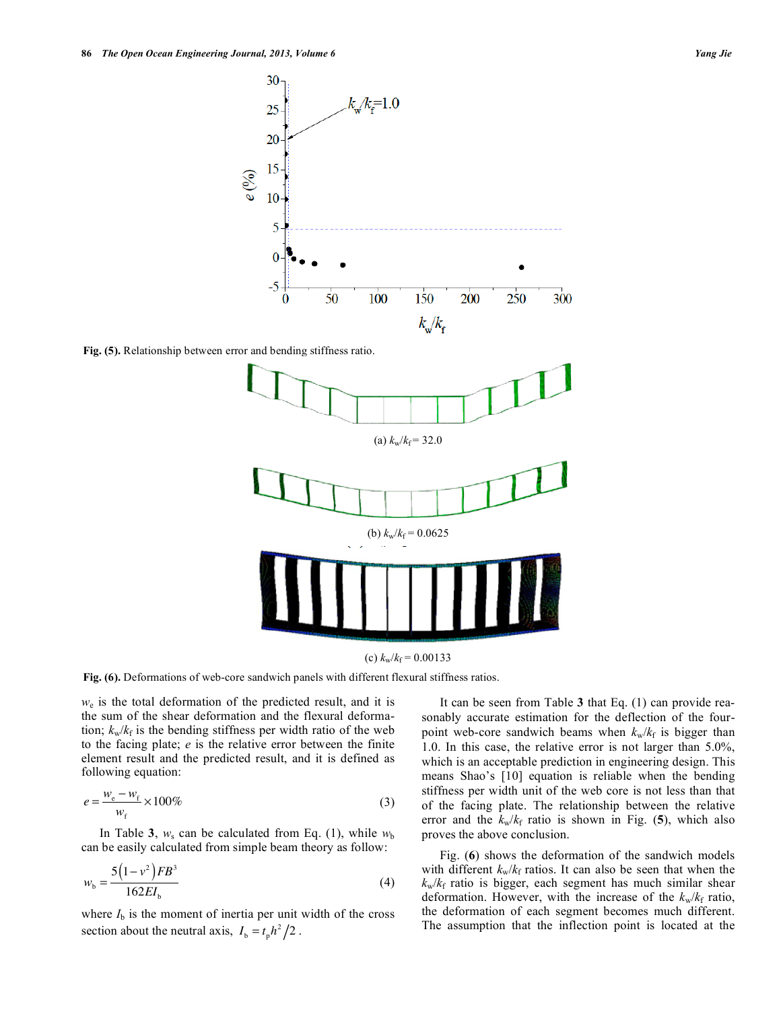



**Fig. (6).** Deformations of web-core sandwich panels with different flexural stiffness ratios.

*w*<sup>e</sup> is the total deformation of the predicted result, and it is the sum of the shear deformation and the flexural deformation;  $k_w/k_f$  is the bending stiffness per width ratio of the web to the facing plate; *e* is the relative error between the finite element result and the predicted result, and it is defined as following equation:

$$
e = \frac{w_e - w_f}{w_f} \times 100\%
$$
\n(3)

In Table **3**,  $w_s$  can be calculated from Eq. (1), while  $w_b$ can be easily calculated from simple beam theory as follow:

$$
w_{\rm b} = \frac{5(1 - v^2)FB^3}{162EI_{\rm b}}\tag{4}
$$

where  $I<sub>b</sub>$  is the moment of inertia per unit width of the cross section about the neutral axis,  $I_b = t_p h^2 / 2$ .

It can be seen from Table **3** that Eq. (1) can provide reasonably accurate estimation for the deflection of the fourpoint web-core sandwich beams when  $k_w/k_f$  is bigger than 1.0. In this case, the relative error is not larger than 5.0%, which is an acceptable prediction in engineering design. This means Shao's [10] equation is reliable when the bending stiffness per width unit of the web core is not less than that of the facing plate. The relationship between the relative error and the  $k_w/k_f$  ratio is shown in Fig. (5), which also proves the above conclusion.

Fig. (**6**) shows the deformation of the sandwich models with different  $k_w/k_f$  ratios. It can also be seen that when the  $k_w/k_f$  ratio is bigger, each segment has much similar shear deformation. However, with the increase of the  $k_w/k_f$  ratio, the deformation of each segment becomes much different. The assumption that the inflection point is located at the